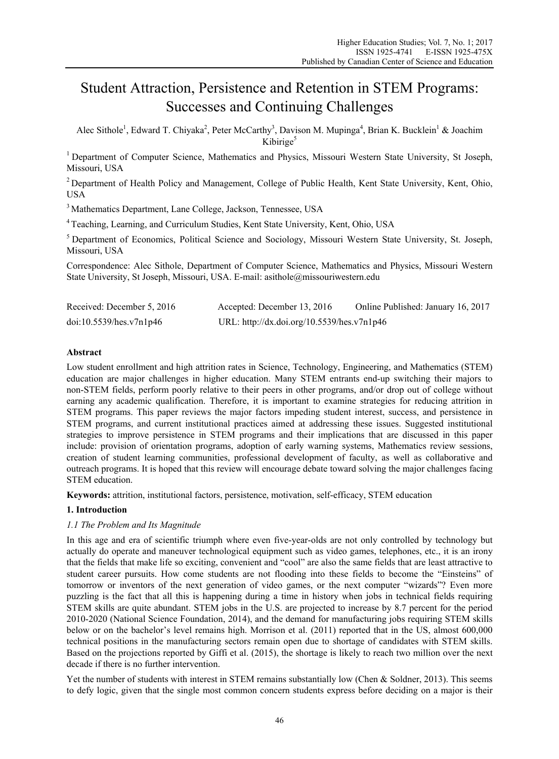# Student Attraction, Persistence and Retention in STEM Programs: Successes and Continuing Challenges

Alec Sithole<sup>1</sup>, Edward T. Chiyaka<sup>2</sup>, Peter McCarthy<sup>3</sup>, Davison M. Mupinga<sup>4</sup>, Brian K. Bucklein<sup>1</sup> & Joachim Kibirige<sup>5</sup>

<sup>1</sup> Department of Computer Science, Mathematics and Physics, Missouri Western State University, St Joseph, Missouri, USA

<sup>2</sup> Department of Health Policy and Management, College of Public Health, Kent State University, Kent, Ohio, USA

3 Mathematics Department, Lane College, Jackson, Tennessee, USA

4 Teaching, Learning, and Curriculum Studies, Kent State University, Kent, Ohio, USA

5 Department of Economics, Political Science and Sociology, Missouri Western State University, St. Joseph, Missouri, USA

Correspondence: Alec Sithole, Department of Computer Science, Mathematics and Physics, Missouri Western State University, St Joseph, Missouri, USA. E-mail: asithole@missouriwestern.edu

| Received: December 5, 2016 | Accepted: December 13, 2016                | Online Published: January 16, 2017 |
|----------------------------|--------------------------------------------|------------------------------------|
| doi:10.5539/hes.v7n1p46    | URL: http://dx.doi.org/10.5539/hes.v7n1p46 |                                    |

# **Abstract**

Low student enrollment and high attrition rates in Science, Technology, Engineering, and Mathematics (STEM) education are major challenges in higher education. Many STEM entrants end-up switching their majors to non-STEM fields, perform poorly relative to their peers in other programs, and/or drop out of college without earning any academic qualification. Therefore, it is important to examine strategies for reducing attrition in STEM programs. This paper reviews the major factors impeding student interest, success, and persistence in STEM programs, and current institutional practices aimed at addressing these issues. Suggested institutional strategies to improve persistence in STEM programs and their implications that are discussed in this paper include: provision of orientation programs, adoption of early warning systems, Mathematics review sessions, creation of student learning communities, professional development of faculty, as well as collaborative and outreach programs. It is hoped that this review will encourage debate toward solving the major challenges facing STEM education.

**Keywords:** attrition, institutional factors, persistence, motivation, self-efficacy, STEM education

# **1. Introduction**

# *1.1 The Problem and Its Magnitude*

In this age and era of scientific triumph where even five-year-olds are not only controlled by technology but actually do operate and maneuver technological equipment such as video games, telephones, etc., it is an irony that the fields that make life so exciting, convenient and "cool" are also the same fields that are least attractive to student career pursuits. How come students are not flooding into these fields to become the "Einsteins" of tomorrow or inventors of the next generation of video games, or the next computer "wizards"? Even more puzzling is the fact that all this is happening during a time in history when jobs in technical fields requiring STEM skills are quite abundant. STEM jobs in the U.S. are projected to increase by 8.7 percent for the period 2010-2020 (National Science Foundation, 2014), and the demand for manufacturing jobs requiring STEM skills below or on the bachelor's level remains high. Morrison et al. (2011) reported that in the US, almost 600,000 technical positions in the manufacturing sectors remain open due to shortage of candidates with STEM skills. Based on the projections reported by Giffi et al. (2015), the shortage is likely to reach two million over the next decade if there is no further intervention.

Yet the number of students with interest in STEM remains substantially low (Chen & Soldner, 2013). This seems to defy logic, given that the single most common concern students express before deciding on a major is their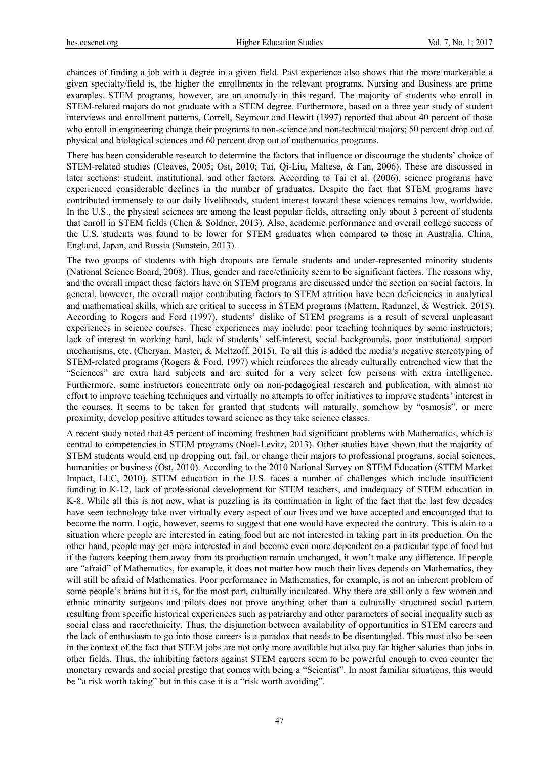chances of finding a job with a degree in a given field. Past experience also shows that the more marketable a given specialty/field is, the higher the enrollments in the relevant programs. Nursing and Business are prime examples. STEM programs, however, are an anomaly in this regard. The majority of students who enroll in STEM-related majors do not graduate with a STEM degree. Furthermore, based on a three year study of student interviews and enrollment patterns, Correll, Seymour and Hewitt (1997) reported that about 40 percent of those who enroll in engineering change their programs to non-science and non-technical majors; 50 percent drop out of physical and biological sciences and 60 percent drop out of mathematics programs.

There has been considerable research to determine the factors that influence or discourage the students' choice of STEM-related studies (Cleaves, 2005; Ost, 2010; Tai, Qi-Liu, Maltese, & Fan, 2006). These are discussed in later sections: student, institutional, and other factors. According to Tai et al. (2006), science programs have experienced considerable declines in the number of graduates. Despite the fact that STEM programs have contributed immensely to our daily livelihoods, student interest toward these sciences remains low, worldwide. In the U.S., the physical sciences are among the least popular fields, attracting only about 3 percent of students that enroll in STEM fields (Chen & Soldner, 2013). Also, academic performance and overall college success of the U.S. students was found to be lower for STEM graduates when compared to those in Australia, China, England, Japan, and Russia (Sunstein, 2013).

The two groups of students with high dropouts are female students and under-represented minority students (National Science Board, 2008). Thus, gender and race/ethnicity seem to be significant factors. The reasons why, and the overall impact these factors have on STEM programs are discussed under the section on social factors. In general, however, the overall major contributing factors to STEM attrition have been deficiencies in analytical and mathematical skills, which are critical to success in STEM programs (Mattern, Radunzel, & Westrick, 2015). According to Rogers and Ford (1997), students' dislike of STEM programs is a result of several unpleasant experiences in science courses. These experiences may include: poor teaching techniques by some instructors; lack of interest in working hard, lack of students' self-interest, social backgrounds, poor institutional support mechanisms, etc. (Cheryan, Master, & Meltzoff, 2015). To all this is added the media's negative stereotyping of STEM-related programs (Rogers & Ford, 1997) which reinforces the already culturally entrenched view that the "Sciences" are extra hard subjects and are suited for a very select few persons with extra intelligence. Furthermore, some instructors concentrate only on non-pedagogical research and publication, with almost no effort to improve teaching techniques and virtually no attempts to offer initiatives to improve students' interest in the courses. It seems to be taken for granted that students will naturally, somehow by "osmosis", or mere proximity, develop positive attitudes toward science as they take science classes.

A recent study noted that 45 percent of incoming freshmen had significant problems with Mathematics, which is central to competencies in STEM programs (Noel-Levitz, 2013). Other studies have shown that the majority of STEM students would end up dropping out, fail, or change their majors to professional programs, social sciences, humanities or business (Ost, 2010). According to the 2010 National Survey on STEM Education (STEM Market Impact, LLC, 2010), STEM education in the U.S. faces a number of challenges which include insufficient funding in K-12, lack of professional development for STEM teachers, and inadequacy of STEM education in K-8. While all this is not new, what is puzzling is its continuation in light of the fact that the last few decades have seen technology take over virtually every aspect of our lives and we have accepted and encouraged that to become the norm. Logic, however, seems to suggest that one would have expected the contrary. This is akin to a situation where people are interested in eating food but are not interested in taking part in its production. On the other hand, people may get more interested in and become even more dependent on a particular type of food but if the factors keeping them away from its production remain unchanged, it won't make any difference. If people are "afraid" of Mathematics, for example, it does not matter how much their lives depends on Mathematics, they will still be afraid of Mathematics. Poor performance in Mathematics, for example, is not an inherent problem of some people's brains but it is, for the most part, culturally inculcated. Why there are still only a few women and ethnic minority surgeons and pilots does not prove anything other than a culturally structured social pattern resulting from specific historical experiences such as patriarchy and other parameters of social inequality such as social class and race/ethnicity. Thus, the disjunction between availability of opportunities in STEM careers and the lack of enthusiasm to go into those careers is a paradox that needs to be disentangled. This must also be seen in the context of the fact that STEM jobs are not only more available but also pay far higher salaries than jobs in other fields. Thus, the inhibiting factors against STEM careers seem to be powerful enough to even counter the monetary rewards and social prestige that comes with being a "Scientist". In most familiar situations, this would be "a risk worth taking" but in this case it is a "risk worth avoiding".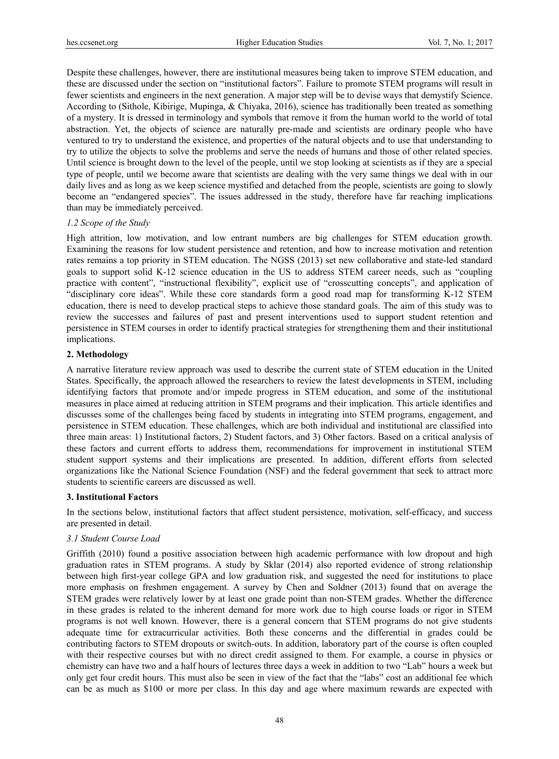Despite these challenges, however, there are institutional measures being taken to improve STEM education, and these are discussed under the section on "institutional factors". Failure to promote STEM programs will result in fewer scientists and engineers in the next generation. A major step will be to devise ways that demystify Science. According to (Sithole, Kibirige, Mupinga, & Chiyaka, 2016), science has traditionally been treated as something of a mystery. It is dressed in terminology and symbols that remove it from the human world to the world of total abstraction. Yet, the objects of science are naturally pre-made and scientists are ordinary people who have ventured to try to understand the existence, and properties of the natural objects and to use that understanding to try to utilize the objects to solve the problems and serve the needs of humans and those of other related species. Until science is brought down to the level of the people, until we stop looking at scientists as if they are a special type of people, until we become aware that scientists are dealing with the very same things we deal with in our daily lives and as long as we keep science mystified and detached from the people, scientists are going to slowly become an "endangered species". The issues addressed in the study, therefore have far reaching implications than may be immediately perceived.

# *1.2 Scope of the Study*

High attrition, low motivation, and low entrant numbers are big challenges for STEM education growth. Examining the reasons for low student persistence and retention, and how to increase motivation and retention rates remains a top priority in STEM education. The NGSS (2013) set new collaborative and state-led standard goals to support solid K-12 science education in the US to address STEM career needs, such as "coupling practice with content", "instructional flexibility", explicit use of "crosscutting concepts", and application of "disciplinary core ideas". While these core standards form a good road map for transforming K-12 STEM education, there is need to develop practical steps to achieve those standard goals. The aim of this study was to review the successes and failures of past and present interventions used to support student retention and persistence in STEM courses in order to identify practical strategies for strengthening them and their institutional implications.

# **2. Methodology**

A narrative literature review approach was used to describe the current state of STEM education in the United States. Specifically, the approach allowed the researchers to review the latest developments in STEM, including identifying factors that promote and/or impede progress in STEM education, and some of the institutional measures in place aimed at reducing attrition in STEM programs and their implication. This article identifies and discusses some of the challenges being faced by students in integrating into STEM programs, engagement, and persistence in STEM education. These challenges, which are both individual and institutional are classified into three main areas: 1) Institutional factors, 2) Student factors, and 3) Other factors. Based on a critical analysis of these factors and current efforts to address them, recommendations for improvement in institutional STEM student support systems and their implications are presented. In addition, different efforts from selected organizations like the National Science Foundation (NSF) and the federal government that seek to attract more students to scientific careers are discussed as well.

# **3. Institutional Factors**

In the sections below, institutional factors that affect student persistence, motivation, self-efficacy, and success are presented in detail.

# *3.1 Student Course Load*

Griffith (2010) found a positive association between high academic performance with low dropout and high graduation rates in STEM programs. A study by Sklar (2014) also reported evidence of strong relationship between high first-year college GPA and low graduation risk, and suggested the need for institutions to place more emphasis on freshmen engagement. A survey by Chen and Soldner (2013) found that on average the STEM grades were relatively lower by at least one grade point than non-STEM grades. Whether the difference in these grades is related to the inherent demand for more work due to high course loads or rigor in STEM programs is not well known. However, there is a general concern that STEM programs do not give students adequate time for extracurricular activities. Both these concerns and the differential in grades could be contributing factors to STEM dropouts or switch-outs. In addition, laboratory part of the course is often coupled with their respective courses but with no direct credit assigned to them. For example, a course in physics or chemistry can have two and a half hours of lectures three days a week in addition to two "Lab" hours a week but only get four credit hours. This must also be seen in view of the fact that the "labs" cost an additional fee which can be as much as \$100 or more per class. In this day and age where maximum rewards are expected with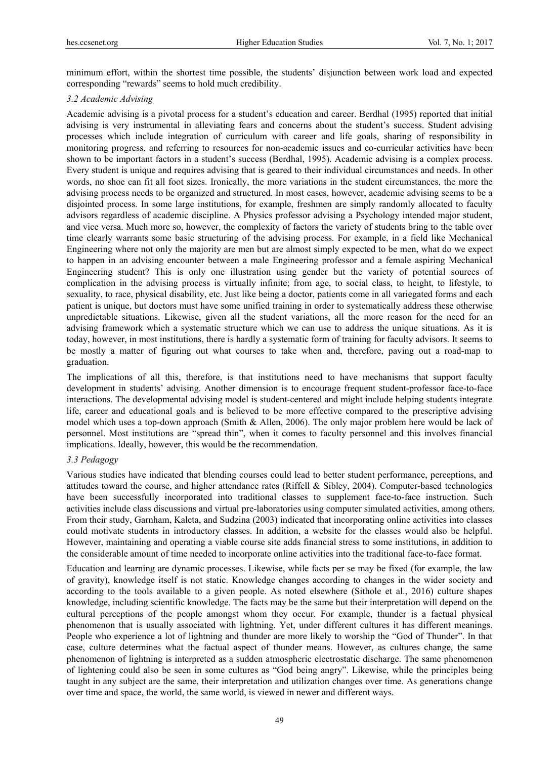minimum effort, within the shortest time possible, the students' disjunction between work load and expected corresponding "rewards" seems to hold much credibility.

#### *3.2 Academic Advising*

Academic advising is a pivotal process for a student's education and career. Berdhal (1995) reported that initial advising is very instrumental in alleviating fears and concerns about the student's success. Student advising processes which include integration of curriculum with career and life goals, sharing of responsibility in monitoring progress, and referring to resources for non-academic issues and co-curricular activities have been shown to be important factors in a student's success (Berdhal, 1995). Academic advising is a complex process. Every student is unique and requires advising that is geared to their individual circumstances and needs. In other words, no shoe can fit all foot sizes. Ironically, the more variations in the student circumstances, the more the advising process needs to be organized and structured. In most cases, however, academic advising seems to be a disjointed process. In some large institutions, for example, freshmen are simply randomly allocated to faculty advisors regardless of academic discipline. A Physics professor advising a Psychology intended major student, and vice versa. Much more so, however, the complexity of factors the variety of students bring to the table over time clearly warrants some basic structuring of the advising process. For example, in a field like Mechanical Engineering where not only the majority are men but are almost simply expected to be men, what do we expect to happen in an advising encounter between a male Engineering professor and a female aspiring Mechanical Engineering student? This is only one illustration using gender but the variety of potential sources of complication in the advising process is virtually infinite; from age, to social class, to height, to lifestyle, to sexuality, to race, physical disability, etc. Just like being a doctor, patients come in all variegated forms and each patient is unique, but doctors must have some unified training in order to systematically address these otherwise unpredictable situations. Likewise, given all the student variations, all the more reason for the need for an advising framework which a systematic structure which we can use to address the unique situations. As it is today, however, in most institutions, there is hardly a systematic form of training for faculty advisors. It seems to be mostly a matter of figuring out what courses to take when and, therefore, paving out a road-map to graduation.

The implications of all this, therefore, is that institutions need to have mechanisms that support faculty development in students' advising. Another dimension is to encourage frequent student-professor face-to-face interactions. The developmental advising model is student-centered and might include helping students integrate life, career and educational goals and is believed to be more effective compared to the prescriptive advising model which uses a top-down approach (Smith & Allen, 2006). The only major problem here would be lack of personnel. Most institutions are "spread thin", when it comes to faculty personnel and this involves financial implications. Ideally, however, this would be the recommendation.

#### *3.3 Pedagogy*

Various studies have indicated that blending courses could lead to better student performance, perceptions, and attitudes toward the course, and higher attendance rates (Riffell & Sibley, 2004). Computer-based technologies have been successfully incorporated into traditional classes to supplement face-to-face instruction. Such activities include class discussions and virtual pre-laboratories using computer simulated activities, among others. From their study, Garnham, Kaleta, and Sudzina (2003) indicated that incorporating online activities into classes could motivate students in introductory classes. In addition, a website for the classes would also be helpful. However, maintaining and operating a viable course site adds financial stress to some institutions, in addition to the considerable amount of time needed to incorporate online activities into the traditional face-to-face format.

Education and learning are dynamic processes. Likewise, while facts per se may be fixed (for example, the law of gravity), knowledge itself is not static. Knowledge changes according to changes in the wider society and according to the tools available to a given people. As noted elsewhere (Sithole et al., 2016) culture shapes knowledge, including scientific knowledge. The facts may be the same but their interpretation will depend on the cultural perceptions of the people amongst whom they occur. For example, thunder is a factual physical phenomenon that is usually associated with lightning. Yet, under different cultures it has different meanings. People who experience a lot of lightning and thunder are more likely to worship the "God of Thunder". In that case, culture determines what the factual aspect of thunder means. However, as cultures change, the same phenomenon of lightning is interpreted as a sudden atmospheric electrostatic discharge. The same phenomenon of lightening could also be seen in some cultures as "God being angry". Likewise, while the principles being taught in any subject are the same, their interpretation and utilization changes over time. As generations change over time and space, the world, the same world, is viewed in newer and different ways.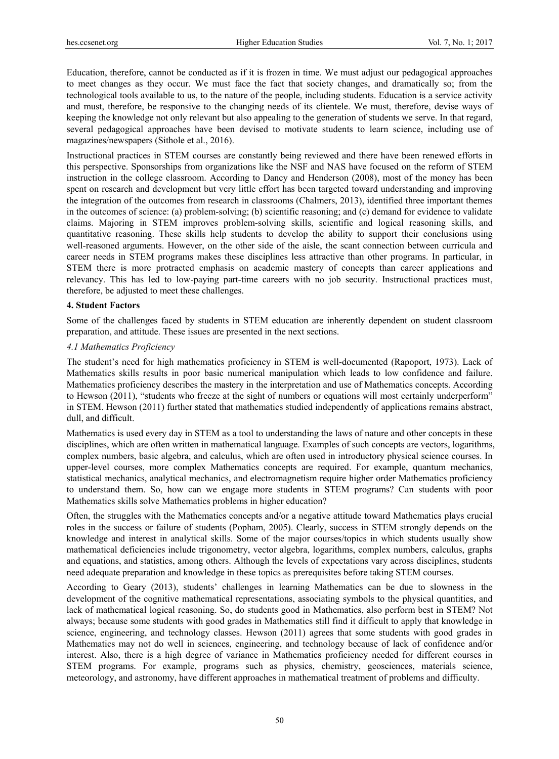Education, therefore, cannot be conducted as if it is frozen in time. We must adjust our pedagogical approaches to meet changes as they occur. We must face the fact that society changes, and dramatically so; from the technological tools available to us, to the nature of the people, including students. Education is a service activity and must, therefore, be responsive to the changing needs of its clientele. We must, therefore, devise ways of keeping the knowledge not only relevant but also appealing to the generation of students we serve. In that regard, several pedagogical approaches have been devised to motivate students to learn science, including use of magazines/newspapers (Sithole et al., 2016).

Instructional practices in STEM courses are constantly being reviewed and there have been renewed efforts in this perspective. Sponsorships from organizations like the NSF and NAS have focused on the reform of STEM instruction in the college classroom. According to Dancy and Henderson (2008), most of the money has been spent on research and development but very little effort has been targeted toward understanding and improving the integration of the outcomes from research in classrooms (Chalmers, 2013), identified three important themes in the outcomes of science: (a) problem-solving; (b) scientific reasoning; and (c) demand for evidence to validate claims. Majoring in STEM improves problem-solving skills, scientific and logical reasoning skills, and quantitative reasoning. These skills help students to develop the ability to support their conclusions using well-reasoned arguments. However, on the other side of the aisle, the scant connection between curricula and career needs in STEM programs makes these disciplines less attractive than other programs. In particular, in STEM there is more protracted emphasis on academic mastery of concepts than career applications and relevancy. This has led to low-paying part-time careers with no job security. Instructional practices must, therefore, be adjusted to meet these challenges.

#### **4. Student Factors**

Some of the challenges faced by students in STEM education are inherently dependent on student classroom preparation, and attitude. These issues are presented in the next sections.

#### *4.1 Mathematics Proficiency*

The student's need for high mathematics proficiency in STEM is well-documented (Rapoport, 1973). Lack of Mathematics skills results in poor basic numerical manipulation which leads to low confidence and failure. Mathematics proficiency describes the mastery in the interpretation and use of Mathematics concepts. According to Hewson (2011), "students who freeze at the sight of numbers or equations will most certainly underperform" in STEM. Hewson (2011) further stated that mathematics studied independently of applications remains abstract, dull, and difficult.

Mathematics is used every day in STEM as a tool to understanding the laws of nature and other concepts in these disciplines, which are often written in mathematical language. Examples of such concepts are vectors, logarithms, complex numbers, basic algebra, and calculus, which are often used in introductory physical science courses. In upper-level courses, more complex Mathematics concepts are required. For example, quantum mechanics, statistical mechanics, analytical mechanics, and electromagnetism require higher order Mathematics proficiency to understand them. So, how can we engage more students in STEM programs? Can students with poor Mathematics skills solve Mathematics problems in higher education?

Often, the struggles with the Mathematics concepts and/or a negative attitude toward Mathematics plays crucial roles in the success or failure of students (Popham, 2005). Clearly, success in STEM strongly depends on the knowledge and interest in analytical skills. Some of the major courses/topics in which students usually show mathematical deficiencies include trigonometry, vector algebra, logarithms, complex numbers, calculus, graphs and equations, and statistics, among others. Although the levels of expectations vary across disciplines, students need adequate preparation and knowledge in these topics as prerequisites before taking STEM courses.

According to Geary (2013), students' challenges in learning Mathematics can be due to slowness in the development of the cognitive mathematical representations, associating symbols to the physical quantities, and lack of mathematical logical reasoning. So, do students good in Mathematics, also perform best in STEM? Not always; because some students with good grades in Mathematics still find it difficult to apply that knowledge in science, engineering, and technology classes. Hewson (2011) agrees that some students with good grades in Mathematics may not do well in sciences, engineering, and technology because of lack of confidence and/or interest. Also, there is a high degree of variance in Mathematics proficiency needed for different courses in STEM programs. For example, programs such as physics, chemistry, geosciences, materials science, meteorology, and astronomy, have different approaches in mathematical treatment of problems and difficulty.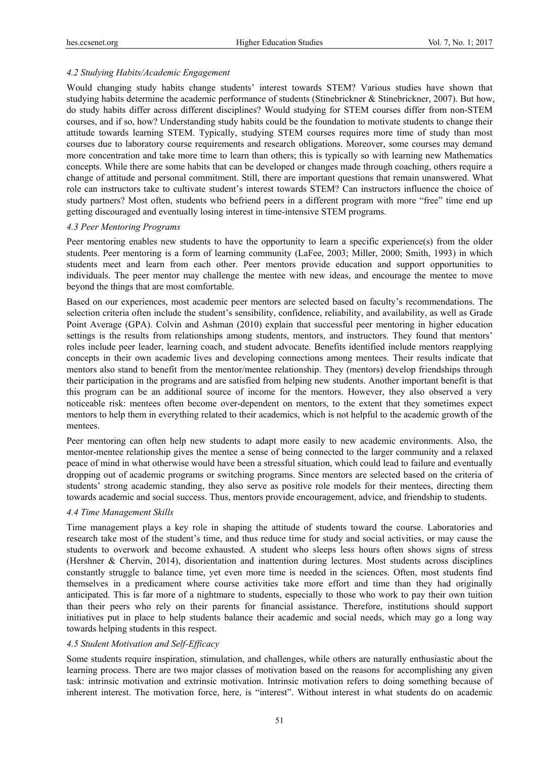# *4.2 Studying Habits/Academic Engagement*

Would changing study habits change students' interest towards STEM? Various studies have shown that studying habits determine the academic performance of students (Stinebrickner & Stinebrickner, 2007). But how, do study habits differ across different disciplines? Would studying for STEM courses differ from non-STEM courses, and if so, how? Understanding study habits could be the foundation to motivate students to change their attitude towards learning STEM. Typically, studying STEM courses requires more time of study than most courses due to laboratory course requirements and research obligations. Moreover, some courses may demand more concentration and take more time to learn than others; this is typically so with learning new Mathematics concepts. While there are some habits that can be developed or changes made through coaching, others require a change of attitude and personal commitment. Still, there are important questions that remain unanswered. What role can instructors take to cultivate student's interest towards STEM? Can instructors influence the choice of study partners? Most often, students who befriend peers in a different program with more "free" time end up getting discouraged and eventually losing interest in time-intensive STEM programs.

# *4.3 Peer Mentoring Programs*

Peer mentoring enables new students to have the opportunity to learn a specific experience(s) from the older students. Peer mentoring is a form of learning community (LaFee, 2003; Miller, 2000; Smith, 1993) in which students meet and learn from each other. Peer mentors provide education and support opportunities to individuals. The peer mentor may challenge the mentee with new ideas, and encourage the mentee to move beyond the things that are most comfortable.

Based on our experiences, most academic peer mentors are selected based on faculty's recommendations. The selection criteria often include the student's sensibility, confidence, reliability, and availability, as well as Grade Point Average (GPA). Colvin and Ashman (2010) explain that successful peer mentoring in higher education settings is the results from relationships among students, mentors, and instructors. They found that mentors' roles include peer leader, learning coach, and student advocate. Benefits identified include mentors reapplying concepts in their own academic lives and developing connections among mentees. Their results indicate that mentors also stand to benefit from the mentor/mentee relationship. They (mentors) develop friendships through their participation in the programs and are satisfied from helping new students. Another important benefit is that this program can be an additional source of income for the mentors. However, they also observed a very noticeable risk: mentees often become over-dependent on mentors, to the extent that they sometimes expect mentors to help them in everything related to their academics, which is not helpful to the academic growth of the mentees.

Peer mentoring can often help new students to adapt more easily to new academic environments. Also, the mentor-mentee relationship gives the mentee a sense of being connected to the larger community and a relaxed peace of mind in what otherwise would have been a stressful situation, which could lead to failure and eventually dropping out of academic programs or switching programs. Since mentors are selected based on the criteria of students' strong academic standing, they also serve as positive role models for their mentees, directing them towards academic and social success. Thus, mentors provide encouragement, advice, and friendship to students.

# *4.4 Time Management Skills*

Time management plays a key role in shaping the attitude of students toward the course. Laboratories and research take most of the student's time, and thus reduce time for study and social activities, or may cause the students to overwork and become exhausted. A student who sleeps less hours often shows signs of stress (Hershner & Chervin, 2014), disorientation and inattention during lectures. Most students across disciplines constantly struggle to balance time, yet even more time is needed in the sciences. Often, most students find themselves in a predicament where course activities take more effort and time than they had originally anticipated. This is far more of a nightmare to students, especially to those who work to pay their own tuition than their peers who rely on their parents for financial assistance. Therefore, institutions should support initiatives put in place to help students balance their academic and social needs, which may go a long way towards helping students in this respect.

# *4.5 Student Motivation and Self-Efficacy*

Some students require inspiration, stimulation, and challenges, while others are naturally enthusiastic about the learning process. There are two major classes of motivation based on the reasons for accomplishing any given task: intrinsic motivation and extrinsic motivation. Intrinsic motivation refers to doing something because of inherent interest. The motivation force, here, is "interest". Without interest in what students do on academic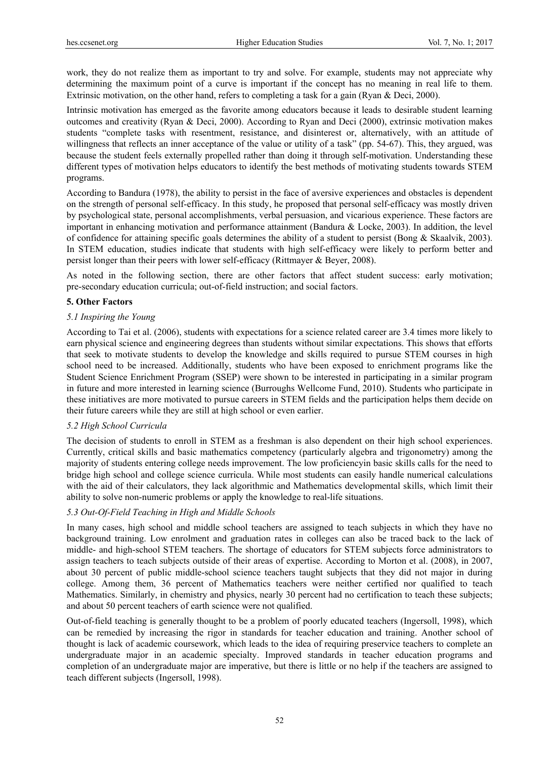work, they do not realize them as important to try and solve. For example, students may not appreciate why determining the maximum point of a curve is important if the concept has no meaning in real life to them. Extrinsic motivation, on the other hand, refers to completing a task for a gain (Ryan & Deci, 2000).

Intrinsic motivation has emerged as the favorite among educators because it leads to desirable student learning outcomes and creativity (Ryan & Deci, 2000). According to Ryan and Deci (2000), extrinsic motivation makes students "complete tasks with resentment, resistance, and disinterest or, alternatively, with an attitude of willingness that reflects an inner acceptance of the value or utility of a task" (pp. 54-67). This, they argued, was because the student feels externally propelled rather than doing it through self-motivation. Understanding these different types of motivation helps educators to identify the best methods of motivating students towards STEM programs.

According to Bandura (1978), the ability to persist in the face of aversive experiences and obstacles is dependent on the strength of personal self-efficacy. In this study, he proposed that personal self-efficacy was mostly driven by psychological state, personal accomplishments, verbal persuasion, and vicarious experience. These factors are important in enhancing motivation and performance attainment (Bandura & Locke, 2003). In addition, the level of confidence for attaining specific goals determines the ability of a student to persist (Bong & Skaalvik, 2003). In STEM education, studies indicate that students with high self-efficacy were likely to perform better and persist longer than their peers with lower self-efficacy (Rittmayer & Beyer, 2008).

As noted in the following section, there are other factors that affect student success: early motivation; pre-secondary education curricula; out-of-field instruction; and social factors.

# **5. Other Factors**

#### *5.1 Inspiring the Young*

According to Tai et al. (2006), students with expectations for a science related career are 3.4 times more likely to earn physical science and engineering degrees than students without similar expectations. This shows that efforts that seek to motivate students to develop the knowledge and skills required to pursue STEM courses in high school need to be increased. Additionally, students who have been exposed to enrichment programs like the Student Science Enrichment Program (SSEP) were shown to be interested in participating in a similar program in future and more interested in learning science (Burroughs Wellcome Fund, 2010). Students who participate in these initiatives are more motivated to pursue careers in STEM fields and the participation helps them decide on their future careers while they are still at high school or even earlier.

# *5.2 High School Curricula*

The decision of students to enroll in STEM as a freshman is also dependent on their high school experiences. Currently, critical skills and basic mathematics competency (particularly algebra and trigonometry) among the majority of students entering college needs improvement. The low proficiencyin basic skills calls for the need to bridge high school and college science curricula. While most students can easily handle numerical calculations with the aid of their calculators, they lack algorithmic and Mathematics developmental skills, which limit their ability to solve non-numeric problems or apply the knowledge to real-life situations.

# *5.3 Out-Of-Field Teaching in High and Middle Schools*

In many cases, high school and middle school teachers are assigned to teach subjects in which they have no background training. Low enrolment and graduation rates in colleges can also be traced back to the lack of middle- and high-school STEM teachers. The shortage of educators for STEM subjects force administrators to assign teachers to teach subjects outside of their areas of expertise. According to Morton et al. (2008), in 2007, about 30 percent of public middle-school science teachers taught subjects that they did not major in during college. Among them, 36 percent of Mathematics teachers were neither certified nor qualified to teach Mathematics. Similarly, in chemistry and physics, nearly 30 percent had no certification to teach these subjects; and about 50 percent teachers of earth science were not qualified.

Out-of-field teaching is generally thought to be a problem of poorly educated teachers (Ingersoll, 1998), which can be remedied by increasing the rigor in standards for teacher education and training. Another school of thought is lack of academic coursework, which leads to the idea of requiring preservice teachers to complete an undergraduate major in an academic specialty. Improved standards in teacher education programs and completion of an undergraduate major are imperative, but there is little or no help if the teachers are assigned to teach different subjects (Ingersoll, 1998).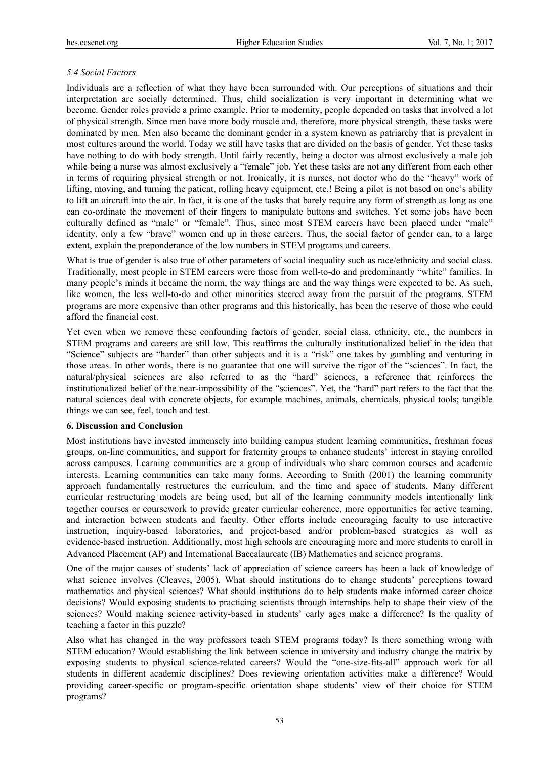# *5.4 Social Factors*

Individuals are a reflection of what they have been surrounded with. Our perceptions of situations and their interpretation are socially determined. Thus, child socialization is very important in determining what we become. Gender roles provide a prime example. Prior to modernity, people depended on tasks that involved a lot of physical strength. Since men have more body muscle and, therefore, more physical strength, these tasks were dominated by men. Men also became the dominant gender in a system known as patriarchy that is prevalent in most cultures around the world. Today we still have tasks that are divided on the basis of gender. Yet these tasks have nothing to do with body strength. Until fairly recently, being a doctor was almost exclusively a male job while being a nurse was almost exclusively a "female" job. Yet these tasks are not any different from each other in terms of requiring physical strength or not. Ironically, it is nurses, not doctor who do the "heavy" work of lifting, moving, and turning the patient, rolling heavy equipment, etc.! Being a pilot is not based on one's ability to lift an aircraft into the air. In fact, it is one of the tasks that barely require any form of strength as long as one can co-ordinate the movement of their fingers to manipulate buttons and switches. Yet some jobs have been culturally defined as "male" or "female". Thus, since most STEM careers have been placed under "male" identity, only a few "brave" women end up in those careers. Thus, the social factor of gender can, to a large extent, explain the preponderance of the low numbers in STEM programs and careers.

What is true of gender is also true of other parameters of social inequality such as race/ethnicity and social class. Traditionally, most people in STEM careers were those from well-to-do and predominantly "white" families. In many people's minds it became the norm, the way things are and the way things were expected to be. As such, like women, the less well-to-do and other minorities steered away from the pursuit of the programs. STEM programs are more expensive than other programs and this historically, has been the reserve of those who could afford the financial cost.

Yet even when we remove these confounding factors of gender, social class, ethnicity, etc., the numbers in STEM programs and careers are still low. This reaffirms the culturally institutionalized belief in the idea that "Science" subjects are "harder" than other subjects and it is a "risk" one takes by gambling and venturing in those areas. In other words, there is no guarantee that one will survive the rigor of the "sciences". In fact, the natural/physical sciences are also referred to as the "hard" sciences, a reference that reinforces the institutionalized belief of the near-impossibility of the "sciences". Yet, the "hard" part refers to the fact that the natural sciences deal with concrete objects, for example machines, animals, chemicals, physical tools; tangible things we can see, feel, touch and test.

# **6. Discussion and Conclusion**

Most institutions have invested immensely into building campus student learning communities, freshman focus groups, on-line communities, and support for fraternity groups to enhance students' interest in staying enrolled across campuses. Learning communities are a group of individuals who share common courses and academic interests. Learning communities can take many forms. According to Smith (2001) the learning community approach fundamentally restructures the curriculum, and the time and space of students. Many different curricular restructuring models are being used, but all of the learning community models intentionally link together courses or coursework to provide greater curricular coherence, more opportunities for active teaming, and interaction between students and faculty. Other efforts include encouraging faculty to use interactive instruction, inquiry-based laboratories, and project-based and/or problem-based strategies as well as evidence-based instruction. Additionally, most high schools are encouraging more and more students to enroll in Advanced Placement (AP) and International Baccalaureate (IB) Mathematics and science programs.

One of the major causes of students' lack of appreciation of science careers has been a lack of knowledge of what science involves (Cleaves, 2005). What should institutions do to change students' perceptions toward mathematics and physical sciences? What should institutions do to help students make informed career choice decisions? Would exposing students to practicing scientists through internships help to shape their view of the sciences? Would making science activity-based in students' early ages make a difference? Is the quality of teaching a factor in this puzzle?

Also what has changed in the way professors teach STEM programs today? Is there something wrong with STEM education? Would establishing the link between science in university and industry change the matrix by exposing students to physical science-related careers? Would the "one-size-fits-all" approach work for all students in different academic disciplines? Does reviewing orientation activities make a difference? Would providing career-specific or program-specific orientation shape students' view of their choice for STEM programs?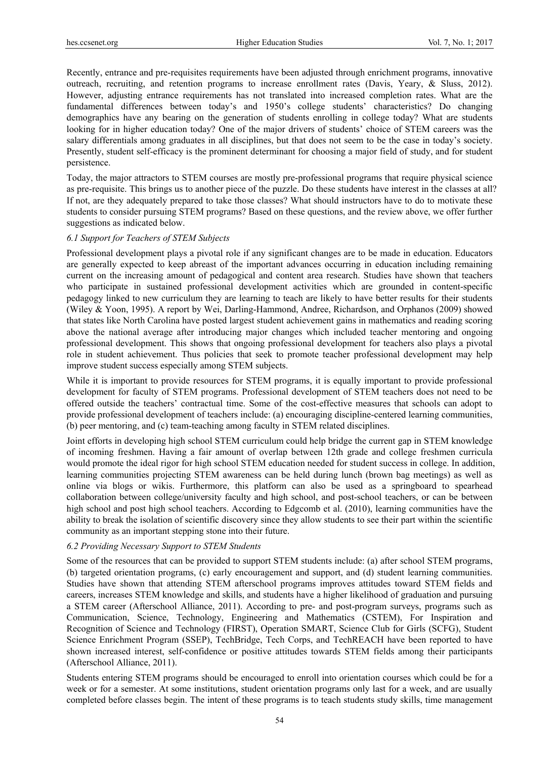Recently, entrance and pre-requisites requirements have been adjusted through enrichment programs, innovative outreach, recruiting, and retention programs to increase enrollment rates (Davis, Yeary, & Sluss, 2012). However, adjusting entrance requirements has not translated into increased completion rates. What are the fundamental differences between today's and 1950's college students' characteristics? Do changing demographics have any bearing on the generation of students enrolling in college today? What are students looking for in higher education today? One of the major drivers of students' choice of STEM careers was the salary differentials among graduates in all disciplines, but that does not seem to be the case in today's society. Presently, student self-efficacy is the prominent determinant for choosing a major field of study, and for student persistence.

Today, the major attractors to STEM courses are mostly pre-professional programs that require physical science as pre-requisite. This brings us to another piece of the puzzle. Do these students have interest in the classes at all? If not, are they adequately prepared to take those classes? What should instructors have to do to motivate these students to consider pursuing STEM programs? Based on these questions, and the review above, we offer further suggestions as indicated below.

#### *6.1 Support for Teachers of STEM Subjects*

Professional development plays a pivotal role if any significant changes are to be made in education. Educators are generally expected to keep abreast of the important advances occurring in education including remaining current on the increasing amount of pedagogical and content area research. Studies have shown that teachers who participate in sustained professional development activities which are grounded in content-specific pedagogy linked to new curriculum they are learning to teach are likely to have better results for their students (Wiley & Yoon, 1995). A report by Wei, Darling-Hammond, Andree, Richardson, and Orphanos (2009) showed that states like North Carolina have posted largest student achievement gains in mathematics and reading scoring above the national average after introducing major changes which included teacher mentoring and ongoing professional development. This shows that ongoing professional development for teachers also plays a pivotal role in student achievement. Thus policies that seek to promote teacher professional development may help improve student success especially among STEM subjects.

While it is important to provide resources for STEM programs, it is equally important to provide professional development for faculty of STEM programs. Professional development of STEM teachers does not need to be offered outside the teachers' contractual time. Some of the cost-effective measures that schools can adopt to provide professional development of teachers include: (a) encouraging discipline-centered learning communities, (b) peer mentoring, and (c) team-teaching among faculty in STEM related disciplines.

Joint efforts in developing high school STEM curriculum could help bridge the current gap in STEM knowledge of incoming freshmen. Having a fair amount of overlap between 12th grade and college freshmen curricula would promote the ideal rigor for high school STEM education needed for student success in college. In addition, learning communities projecting STEM awareness can be held during lunch (brown bag meetings) as well as online via blogs or wikis. Furthermore, this platform can also be used as a springboard to spearhead collaboration between college/university faculty and high school, and post-school teachers, or can be between high school and post high school teachers. According to Edgcomb et al. (2010), learning communities have the ability to break the isolation of scientific discovery since they allow students to see their part within the scientific community as an important stepping stone into their future.

#### *6.2 Providing Necessary Support to STEM Students*

Some of the resources that can be provided to support STEM students include: (a) after school STEM programs, (b) targeted orientation programs, (c) early encouragement and support, and (d) student learning communities. Studies have shown that attending STEM afterschool programs improves attitudes toward STEM fields and careers, increases STEM knowledge and skills, and students have a higher likelihood of graduation and pursuing a STEM career (Afterschool Alliance, 2011). According to pre- and post-program surveys, programs such as Communication, Science, Technology, Engineering and Mathematics (CSTEM), For Inspiration and Recognition of Science and Technology (FIRST), Operation SMART, Science Club for Girls (SCFG), Student Science Enrichment Program (SSEP), TechBridge, Tech Corps, and TechREACH have been reported to have shown increased interest, self-confidence or positive attitudes towards STEM fields among their participants (Afterschool Alliance, 2011).

Students entering STEM programs should be encouraged to enroll into orientation courses which could be for a week or for a semester. At some institutions, student orientation programs only last for a week, and are usually completed before classes begin. The intent of these programs is to teach students study skills, time management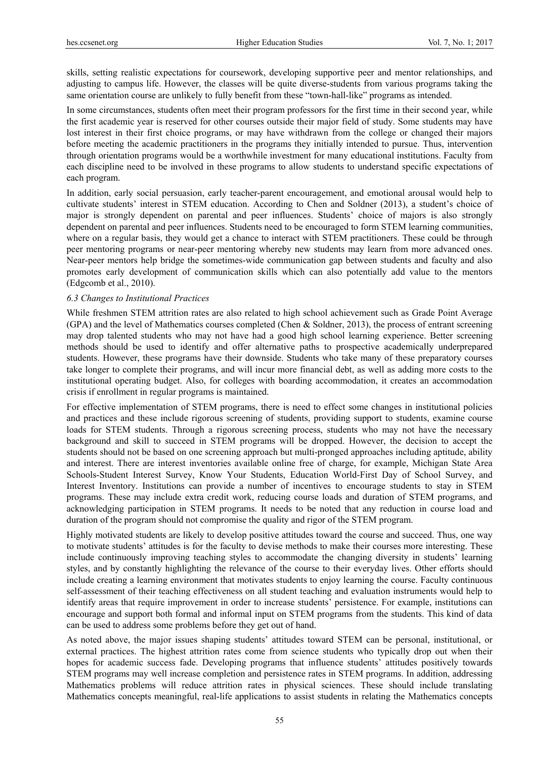skills, setting realistic expectations for coursework, developing supportive peer and mentor relationships, and adjusting to campus life. However, the classes will be quite diverse-students from various programs taking the same orientation course are unlikely to fully benefit from these "town-hall-like" programs as intended.

In some circumstances, students often meet their program professors for the first time in their second year, while the first academic year is reserved for other courses outside their major field of study. Some students may have lost interest in their first choice programs, or may have withdrawn from the college or changed their majors before meeting the academic practitioners in the programs they initially intended to pursue. Thus, intervention through orientation programs would be a worthwhile investment for many educational institutions. Faculty from each discipline need to be involved in these programs to allow students to understand specific expectations of each program.

In addition, early social persuasion, early teacher-parent encouragement, and emotional arousal would help to cultivate students' interest in STEM education. According to Chen and Soldner (2013), a student's choice of major is strongly dependent on parental and peer influences. Students' choice of majors is also strongly dependent on parental and peer influences. Students need to be encouraged to form STEM learning communities, where on a regular basis, they would get a chance to interact with STEM practitioners. These could be through peer mentoring programs or near-peer mentoring whereby new students may learn from more advanced ones. Near-peer mentors help bridge the sometimes-wide communication gap between students and faculty and also promotes early development of communication skills which can also potentially add value to the mentors (Edgcomb et al., 2010).

#### *6.3 Changes to Institutional Practices*

While freshmen STEM attrition rates are also related to high school achievement such as Grade Point Average (GPA) and the level of Mathematics courses completed (Chen & Soldner, 2013), the process of entrant screening may drop talented students who may not have had a good high school learning experience. Better screening methods should be used to identify and offer alternative paths to prospective academically underprepared students. However, these programs have their downside. Students who take many of these preparatory courses take longer to complete their programs, and will incur more financial debt, as well as adding more costs to the institutional operating budget. Also, for colleges with boarding accommodation, it creates an accommodation crisis if enrollment in regular programs is maintained.

For effective implementation of STEM programs, there is need to effect some changes in institutional policies and practices and these include rigorous screening of students, providing support to students, examine course loads for STEM students. Through a rigorous screening process, students who may not have the necessary background and skill to succeed in STEM programs will be dropped. However, the decision to accept the students should not be based on one screening approach but multi-pronged approaches including aptitude, ability and interest. There are interest inventories available online free of charge, for example, Michigan State Area Schools-Student Interest Survey, Know Your Students, Education World-First Day of School Survey, and Interest Inventory. Institutions can provide a number of incentives to encourage students to stay in STEM programs. These may include extra credit work, reducing course loads and duration of STEM programs, and acknowledging participation in STEM programs. It needs to be noted that any reduction in course load and duration of the program should not compromise the quality and rigor of the STEM program.

Highly motivated students are likely to develop positive attitudes toward the course and succeed. Thus, one way to motivate students' attitudes is for the faculty to devise methods to make their courses more interesting. These include continuously improving teaching styles to accommodate the changing diversity in students' learning styles, and by constantly highlighting the relevance of the course to their everyday lives. Other efforts should include creating a learning environment that motivates students to enjoy learning the course. Faculty continuous self-assessment of their teaching effectiveness on all student teaching and evaluation instruments would help to identify areas that require improvement in order to increase students' persistence. For example, institutions can encourage and support both formal and informal input on STEM programs from the students. This kind of data can be used to address some problems before they get out of hand.

As noted above, the major issues shaping students' attitudes toward STEM can be personal, institutional, or external practices. The highest attrition rates come from science students who typically drop out when their hopes for academic success fade. Developing programs that influence students' attitudes positively towards STEM programs may well increase completion and persistence rates in STEM programs. In addition, addressing Mathematics problems will reduce attrition rates in physical sciences. These should include translating Mathematics concepts meaningful, real-life applications to assist students in relating the Mathematics concepts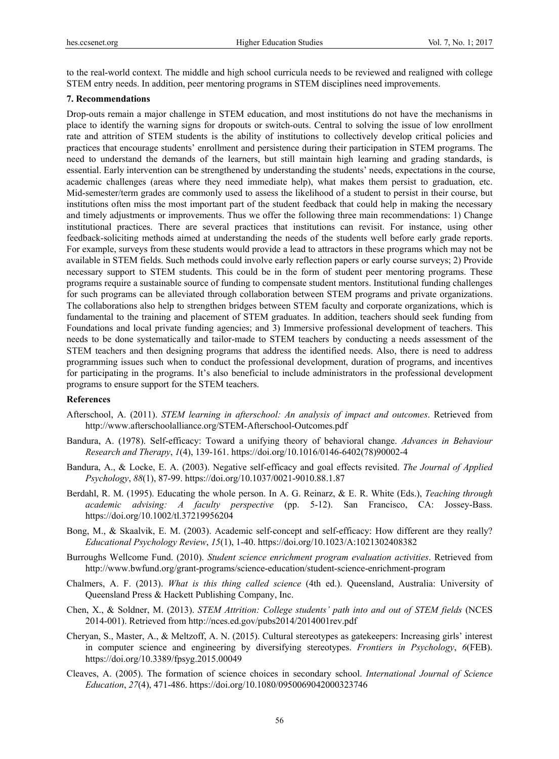to the real-world context. The middle and high school curricula needs to be reviewed and realigned with college STEM entry needs. In addition, peer mentoring programs in STEM disciplines need improvements.

# **7. Recommendations**

Drop-outs remain a major challenge in STEM education, and most institutions do not have the mechanisms in place to identify the warning signs for dropouts or switch-outs. Central to solving the issue of low enrollment rate and attrition of STEM students is the ability of institutions to collectively develop critical policies and practices that encourage students' enrollment and persistence during their participation in STEM programs. The need to understand the demands of the learners, but still maintain high learning and grading standards, is essential. Early intervention can be strengthened by understanding the students' needs, expectations in the course, academic challenges (areas where they need immediate help), what makes them persist to graduation, etc. Mid-semester/term grades are commonly used to assess the likelihood of a student to persist in their course, but institutions often miss the most important part of the student feedback that could help in making the necessary and timely adjustments or improvements. Thus we offer the following three main recommendations: 1) Change institutional practices. There are several practices that institutions can revisit. For instance, using other feedback-soliciting methods aimed at understanding the needs of the students well before early grade reports. For example, surveys from these students would provide a lead to attractors in these programs which may not be available in STEM fields. Such methods could involve early reflection papers or early course surveys; 2) Provide necessary support to STEM students. This could be in the form of student peer mentoring programs. These programs require a sustainable source of funding to compensate student mentors. Institutional funding challenges for such programs can be alleviated through collaboration between STEM programs and private organizations. The collaborations also help to strengthen bridges between STEM faculty and corporate organizations, which is fundamental to the training and placement of STEM graduates. In addition, teachers should seek funding from Foundations and local private funding agencies; and 3) Immersive professional development of teachers. This needs to be done systematically and tailor-made to STEM teachers by conducting a needs assessment of the STEM teachers and then designing programs that address the identified needs. Also, there is need to address programming issues such when to conduct the professional development, duration of programs, and incentives for participating in the programs. It's also beneficial to include administrators in the professional development programs to ensure support for the STEM teachers.

# **References**

- Afterschool, A. (2011). *STEM learning in afterschool: An analysis of impact and outcomes*. Retrieved from http://www.afterschoolalliance.org/STEM-Afterschool-Outcomes.pdf
- Bandura, A. (1978). Self-efficacy: Toward a unifying theory of behavioral change. *Advances in Behaviour Research and Therapy*, *1*(4), 139-161. https://doi.org/10.1016/0146-6402(78)90002-4
- Bandura, A., & Locke, E. A. (2003). Negative self-efficacy and goal effects revisited. *The Journal of Applied Psychology*, *88*(1), 87-99. https://doi.org/10.1037/0021-9010.88.1.87
- Berdahl, R. M. (1995). Educating the whole person. In A. G. Reinarz, & E. R. White (Eds.), *Teaching through academic advising: A faculty perspective* (pp. 5-12). San Francisco, CA: Jossey-Bass. https://doi.org/10.1002/tl.37219956204
- Bong, M., & Skaalvik, E. M. (2003). Academic self-concept and self-efficacy: How different are they really? *Educational Psychology Review*, *15*(1), 1-40. https://doi.org/10.1023/A:1021302408382
- Burroughs Wellcome Fund. (2010). *Student science enrichment program evaluation activities*. Retrieved from http://www.bwfund.org/grant-programs/science-education/student-science-enrichment-program
- Chalmers, A. F. (2013). *What is this thing called science* (4th ed.). Queensland, Australia: University of Queensland Press & Hackett Publishing Company, Inc.
- Chen, X., & Soldner, M. (2013). *STEM Attrition: College students' path into and out of STEM fields* (NCES 2014-001). Retrieved from http://nces.ed.gov/pubs2014/2014001rev.pdf
- Cheryan, S., Master, A., & Meltzoff, A. N. (2015). Cultural stereotypes as gatekeepers: Increasing girls' interest in computer science and engineering by diversifying stereotypes. *Frontiers in Psychology*, *6*(FEB). https://doi.org/10.3389/fpsyg.2015.00049
- Cleaves, A. (2005). The formation of science choices in secondary school. *International Journal of Science Education*, *27*(4), 471-486. https://doi.org/10.1080/0950069042000323746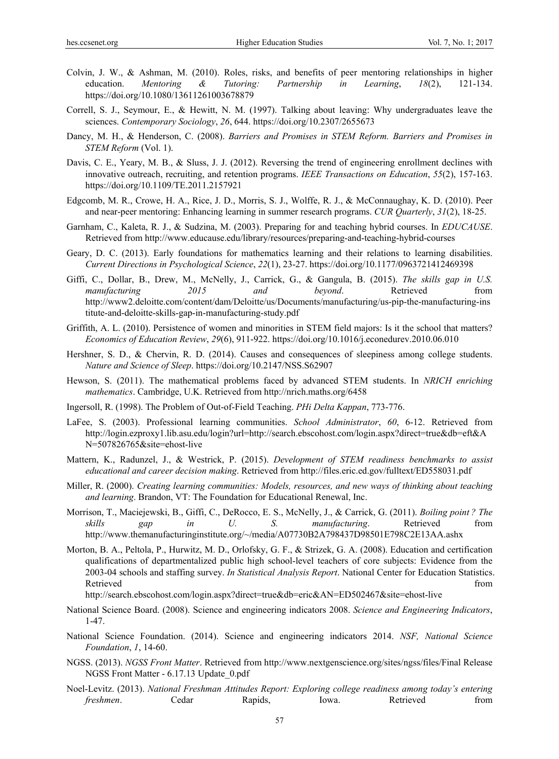- Colvin, J. W., & Ashman, M. (2010). Roles, risks, and benefits of peer mentoring relationships in higher education. *Mentoring & Tutoring: Partnership in Learning*, *18*(2), 121-134. https://doi.org/10.1080/13611261003678879
- Correll, S. J., Seymour, E., & Hewitt, N. M. (1997). Talking about leaving: Why undergraduates leave the sciences. *Contemporary Sociology*, *26*, 644. https://doi.org/10.2307/2655673
- Dancy, M. H., & Henderson, C. (2008). *Barriers and Promises in STEM Reform. Barriers and Promises in STEM Reform* (Vol. 1).
- Davis, C. E., Yeary, M. B., & Sluss, J. J. (2012). Reversing the trend of engineering enrollment declines with innovative outreach, recruiting, and retention programs. *IEEE Transactions on Education*, *55*(2), 157-163. https://doi.org/10.1109/TE.2011.2157921
- Edgcomb, M. R., Crowe, H. A., Rice, J. D., Morris, S. J., Wolffe, R. J., & McConnaughay, K. D. (2010). Peer and near-peer mentoring: Enhancing learning in summer research programs. *CUR Quarterly*, *31*(2), 18-25.
- Garnham, C., Kaleta, R. J., & Sudzina, M. (2003). Preparing for and teaching hybrid courses. In *EDUCAUSE*. Retrieved from http://www.educause.edu/library/resources/preparing-and-teaching-hybrid-courses
- Geary, D. C. (2013). Early foundations for mathematics learning and their relations to learning disabilities. *Current Directions in Psychological Science*, *22*(1), 23-27. https://doi.org/10.1177/0963721412469398
- Giffi, C., Dollar, B., Drew, M., McNelly, J., Carrick, G., & Gangula, B. (2015). *The skills gap in U.S. manufacturing 2015 and beyond*. Retrieved from http://www2.deloitte.com/content/dam/Deloitte/us/Documents/manufacturing/us-pip-the-manufacturing-ins titute-and-deloitte-skills-gap-in-manufacturing-study.pdf
- Griffith, A. L. (2010). Persistence of women and minorities in STEM field majors: Is it the school that matters? *Economics of Education Review*, *29*(6), 911-922. https://doi.org/10.1016/j.econedurev.2010.06.010
- Hershner, S. D., & Chervin, R. D. (2014). Causes and consequences of sleepiness among college students. *Nature and Science of Sleep*. https://doi.org/10.2147/NSS.S62907
- Hewson, S. (2011). The mathematical problems faced by advanced STEM students. In *NRICH enriching mathematics*. Cambridge, U.K. Retrieved from http://nrich.maths.org/6458
- Ingersoll, R. (1998). The Problem of Out-of-Field Teaching. *PHi Delta Kappan*, 773-776.
- LaFee, S. (2003). Professional learning communities. *School Administrator*, *60*, 6-12. Retrieved from http://login.ezproxy1.lib.asu.edu/login?url=http://search.ebscohost.com/login.aspx?direct=true&db=eft&A N=507826765&site=ehost-live
- Mattern, K., Radunzel, J., & Westrick, P. (2015). *Development of STEM readiness benchmarks to assist educational and career decision making*. Retrieved from http://files.eric.ed.gov/fulltext/ED558031.pdf
- Miller, R. (2000). *Creating learning communities: Models, resources, and new ways of thinking about teaching and learning*. Brandon, VT: The Foundation for Educational Renewal, Inc.
- Morrison, T., Maciejewski, B., Giffi, C., DeRocco, E. S., McNelly, J., & Carrick, G. (2011). *Boiling point ? The skills gap in U. S. manufacturing*. Retrieved from http://www.themanufacturinginstitute.org/~/media/A07730B2A798437D98501E798C2E13AA.ashx
- Morton, B. A., Peltola, P., Hurwitz, M. D., Orlofsky, G. F., & Strizek, G. A. (2008). Education and certification qualifications of departmentalized public high school-level teachers of core subjects: Evidence from the 2003-04 schools and staffing survey. *In Statistical Analysis Report*. National Center for Education Statistics. Retrieved that the contract of the contract of the contract of the contract of the contract of the contract of the contract of the contract of the contract of the contract of the contract of the contract of the contract of

http://search.ebscohost.com/login.aspx?direct=true&db=eric&AN=ED502467&site=ehost-live

- National Science Board. (2008). Science and engineering indicators 2008. *Science and Engineering Indicators*, 1-47.
- National Science Foundation. (2014). Science and engineering indicators 2014. *NSF, National Science Foundation*, *1*, 14-60.
- NGSS. (2013). *NGSS Front Matter*. Retrieved from http://www.nextgenscience.org/sites/ngss/files/Final Release NGSS Front Matter - 6.17.13 Update\_0.pdf
- Noel-Levitz. (2013). *National Freshman Attitudes Report: Exploring college readiness among today's entering freshmen*. Cedar Rapids, Iowa. Retrieved from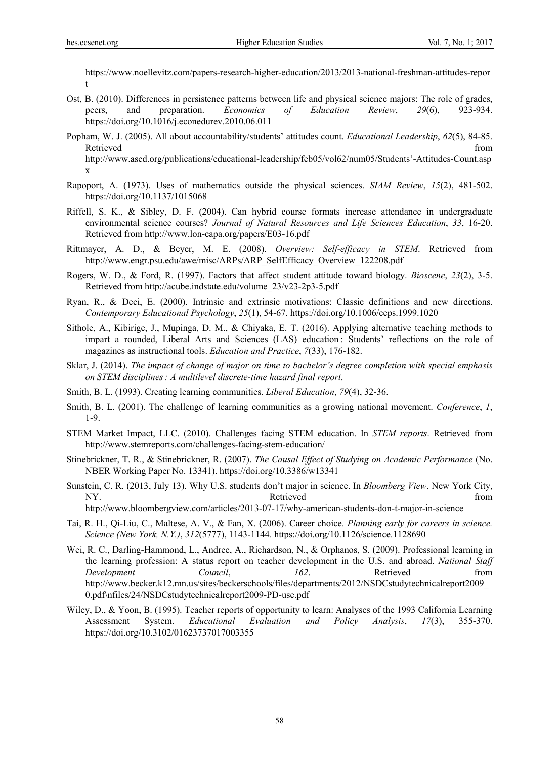https://www.noellevitz.com/papers-research-higher-education/2013/2013-national-freshman-attitudes-repor t

- Ost, B. (2010). Differences in persistence patterns between life and physical science majors: The role of grades, peers, and preparation. *Economics of Education Review*, *29*(6), 923-934. https://doi.org/10.1016/j.econedurev.2010.06.011
- Popham, W. J. (2005). All about accountability/students' attitudes count. *Educational Leadership*, *62*(5), 84-85. Retrieved that the contract of the contract of the contract of the contract of the contract of the contract of the contract of the contract of the contract of the contract of the contract of the contract of the contract of http://www.ascd.org/publications/educational-leadership/feb05/vol62/num05/Students'-Attitudes-Count.asp x
- Rapoport, A. (1973). Uses of mathematics outside the physical sciences. *SIAM Review*, *15*(2), 481-502. https://doi.org/10.1137/1015068
- Riffell, S. K., & Sibley, D. F. (2004). Can hybrid course formats increase attendance in undergraduate environmental science courses? *Journal of Natural Resources and Life Sciences Education*, *33*, 16-20. Retrieved from http://www.lon-capa.org/papers/E03-16.pdf
- Rittmayer, A. D., & Beyer, M. E. (2008). *Overview: Self-efficacy in STEM*. Retrieved from http://www.engr.psu.edu/awe/misc/ARPs/ARP\_SelfEfficacy\_Overview\_122208.pdf
- Rogers, W. D., & Ford, R. (1997). Factors that affect student attitude toward biology. *Bioscene*, *23*(2), 3-5. Retrieved from http://acube.indstate.edu/volume\_23/v23-2p3-5.pdf
- Ryan, R., & Deci, E. (2000). Intrinsic and extrinsic motivations: Classic definitions and new directions. *Contemporary Educational Psychology*, *25*(1), 54-67. https://doi.org/10.1006/ceps.1999.1020
- Sithole, A., Kibirige, J., Mupinga, D. M., & Chiyaka, E. T. (2016). Applying alternative teaching methods to impart a rounded, Liberal Arts and Sciences (LAS) education : Students' reflections on the role of magazines as instructional tools. *Education and Practice*, *7*(33), 176-182.
- Sklar, J. (2014). *The impact of change of major on time to bachelor's degree completion with special emphasis on STEM disciplines: A multilevel discrete-time hazard final report*.
- Smith, B. L. (1993). Creating learning communities. *Liberal Education*, *79*(4), 32-36.
- Smith, B. L. (2001). The challenge of learning communities as a growing national movement. *Conference*, *1*, 1-9.
- STEM Market Impact, LLC. (2010). Challenges facing STEM education. In *STEM reports*. Retrieved from http://www.stemreports.com/challenges-facing-stem-education/
- Stinebrickner, T. R., & Stinebrickner, R. (2007). *The Causal Effect of Studying on Academic Performance* (No. NBER Working Paper No. 13341). https://doi.org/10.3386/w13341
- Sunstein, C. R. (2013, July 13). Why U.S. students don't major in science. In *Bloomberg View*. New York City, NY. Settleved that the extension of the extension of the extension of the extension of the extension of the extension of the extension of the extension of the extension of the extension of the extension of the extension of http://www.bloombergview.com/articles/2013-07-17/why-american-students-don-t-major-in-science
- Tai, R. H., Qi-Liu, C., Maltese, A. V., & Fan, X. (2006). Career choice. *Planning early for careers in science. Science (New York, N.Y.)*, *312*(5777), 1143-1144. https://doi.org/10.1126/science.1128690
- Wei, R. C., Darling-Hammond, L., Andree, A., Richardson, N., & Orphanos, S. (2009). Professional learning in the learning profession: A status report on teacher development in the U.S. and abroad. *National Staff Development Council*, *162*. Retrieved from http://www.becker.k12.mn.us/sites/beckerschools/files/departments/2012/NSDCstudytechnicalreport2009\_ 0.pdf\nfiles/24/NSDCstudytechnicalreport2009-PD-use.pdf
- Wiley, D., & Yoon, B. (1995). Teacher reports of opportunity to learn: Analyses of the 1993 California Learning Assessment System. *Educational Evaluation and Policy Analysis*, *17*(3), 355-370. https://doi.org/10.3102/01623737017003355